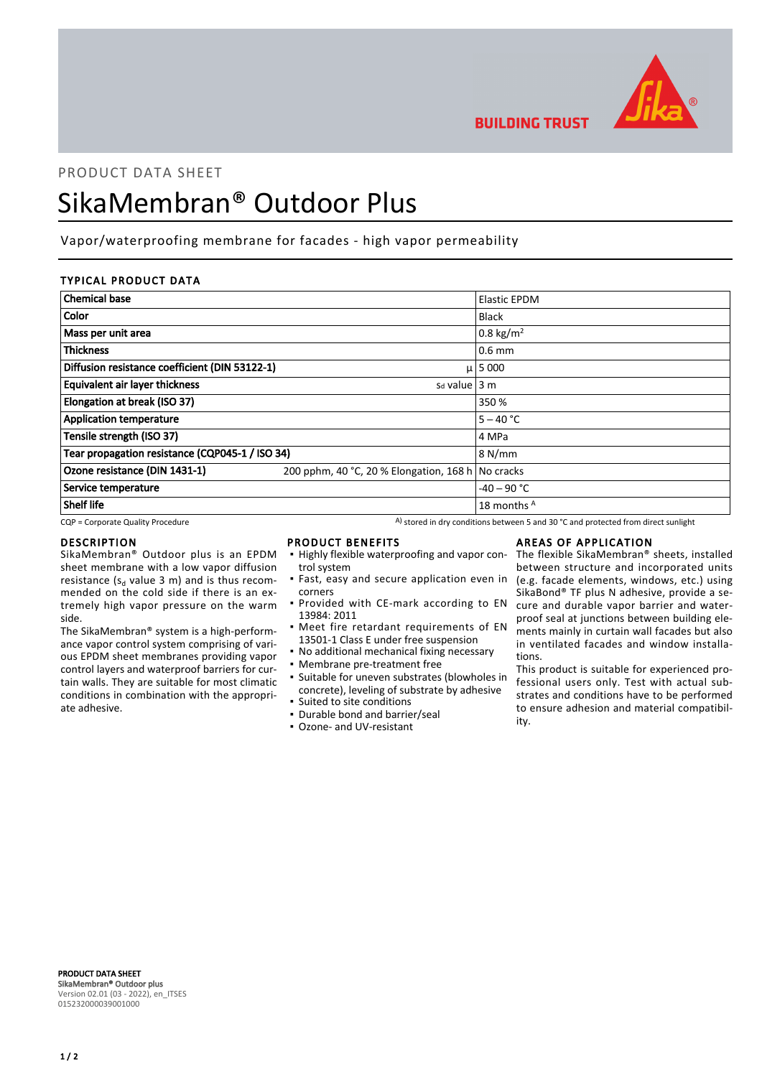

**BUILDING TRUST** 

# PRODUCT DATA SHEET

# SikaMembran® Outdoor Plus

Vapor/waterproofing membrane for facades - high vapor permeability

# TYPICAL PRODUCT DATA

| <b>Chemical base</b>                                                |                                                   | <b>Elastic EPDM</b>  |
|---------------------------------------------------------------------|---------------------------------------------------|----------------------|
| Color                                                               |                                                   | <b>Black</b>         |
| Mass per unit area                                                  |                                                   | $0.8 \text{ kg/m}^2$ |
| <b>Thickness</b>                                                    |                                                   | $0.6$ mm             |
| Diffusion resistance coefficient (DIN 53122-1)                      |                                                   | $\mu$   5 000        |
| <b>Equivalent air layer thickness</b><br>$sd$ value $ 3 \text{ m} $ |                                                   |                      |
| Elongation at break (ISO 37)                                        |                                                   | 350 %                |
| <b>Application temperature</b>                                      |                                                   | $5 - 40 °C$          |
| Tensile strength (ISO 37)                                           |                                                   | 4 MPa                |
| Tear propagation resistance (CQP045-1 / ISO 34)                     |                                                   | 8 N/mm               |
| Ozone resistance (DIN 1431-1)                                       | 200 pphm, 40 °C, 20 % Elongation, 168 h No cracks |                      |
| Service temperature                                                 |                                                   | $-40 - 90$ °C        |
| Shelf life                                                          |                                                   | 18 months A          |

 $CQP$  = Corporate Quality Procedure  $A)$  stored in dry conditions between 5 and 30 °C and protected from direct sunlight

## DESCRIPTION

SikaMembran® Outdoor plus is an EPDM sheet membrane with a low vapor diffusion resistance ( $s_d$  value 3 m) and is thus recommended on the cold side if there is an extremely high vapor pressure on the warm side.

The SikaMembran® system is a high-performance vapor control system comprising of various EPDM sheet membranes providing vapor control layers and waterproof barriers for curtain walls. They are suitable for most climatic conditions in combination with the appropriate adhesive.

## PRODUCT BENEFITS

- **.** Highly flexible waterproofing and vapor control system
- **·** Fast, easy and secure application even in corners
- **Provided with CE-mark according to EN** 13984: 2011
- **•** Meet fire retardant requirements of EN 13501-1 Class E under free suspension
- No additional mechanical fixing necessary
- Membrane pre-treatment free
- Suitable for uneven substrates (blowholes in concrete), leveling of substrate by adhesive ▪ Suited to site conditions
- Durable bond and barrier/seal
- Ozone- and UV-resistant

# AREAS OF APPLICATION

The flexible SikaMembran® sheets, installed between structure and incorporated units (e.g. facade elements, windows, etc.) using SikaBond® TF plus N adhesive, provide a secure and durable vapor barrier and waterproof seal at junctions between building elements mainly in curtain wall facades but also in ventilated facades and window installations.

This product is suitable for experienced professional users only. Test with actual substrates and conditions have to be performed to ensure adhesion and material compatibility.

PRODUCT DATA SHEET SikaMembran® Outdoor plus Version 02.01 (03 - 2022), en\_ITSES 015232000039001000